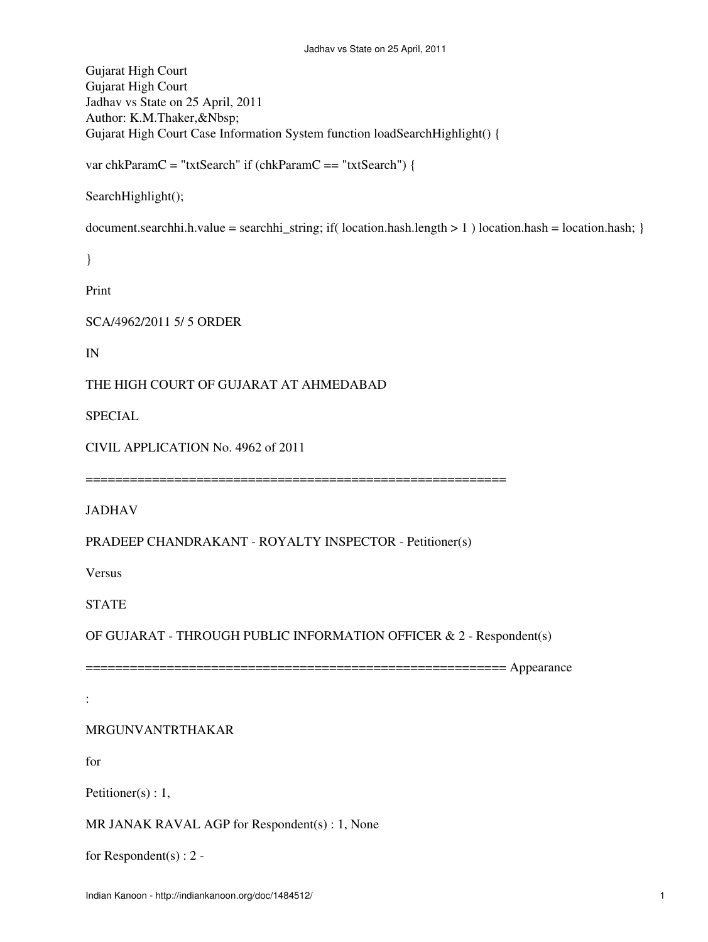Gujarat High Court Gujarat High Court Jadhav vs State on 25 April, 2011 Author: K.M.Thaker,&Nbsp; Gujarat High Court Case Information System function loadSearchHighlight() {

var chkParamC = "txtSearch" if (chkParamC == "txtSearch") {

SearchHighlight();

document.searchhi.h.value = searchhi\_string; if( location.hash.length > 1 ) location.hash = location.hash; }

}

Print

SCA/4962/2011 5/ 5 ORDER

IN

THE HIGH COURT OF GUJARAT AT AHMEDABAD

SPECIAL

CIVIL APPLICATION No. 4962 of 2011

=========================================================

JADHAV

PRADEEP CHANDRAKANT - ROYALTY INSPECTOR - Petitioner(s)

Versus

**STATE** 

OF GUJARAT - THROUGH PUBLIC INFORMATION OFFICER & 2 - Respondent(s)

========================================================= Appearance

MRGUNVANTRTHAKAR

for

:

Petitioner(s) : 1,

MR JANAK RAVAL AGP for Respondent(s) : 1, None

for Respondent(s) : 2 -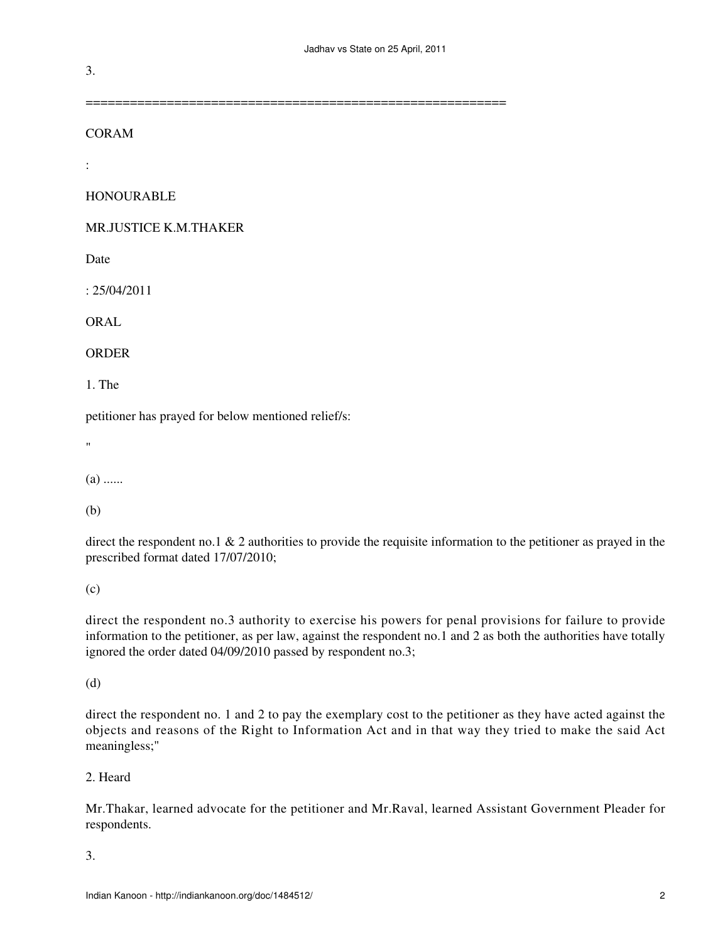=========================================================

### CORAM

:

### HONOURABLE

MR.JUSTICE K.M.THAKER

Date

: 25/04/2011

**ORAL** 

ORDER

1. The

petitioner has prayed for below mentioned relief/s:

"

 $(a)$  ......

(b)

direct the respondent no.1 & 2 authorities to provide the requisite information to the petitioner as prayed in the prescribed format dated 17/07/2010;

(c)

direct the respondent no.3 authority to exercise his powers for penal provisions for failure to provide information to the petitioner, as per law, against the respondent no.1 and 2 as both the authorities have totally ignored the order dated 04/09/2010 passed by respondent no.3;

(d)

direct the respondent no. 1 and 2 to pay the exemplary cost to the petitioner as they have acted against the objects and reasons of the Right to Information Act and in that way they tried to make the said Act meaningless;"

2. Heard

Mr.Thakar, learned advocate for the petitioner and Mr.Raval, learned Assistant Government Pleader for respondents.

3.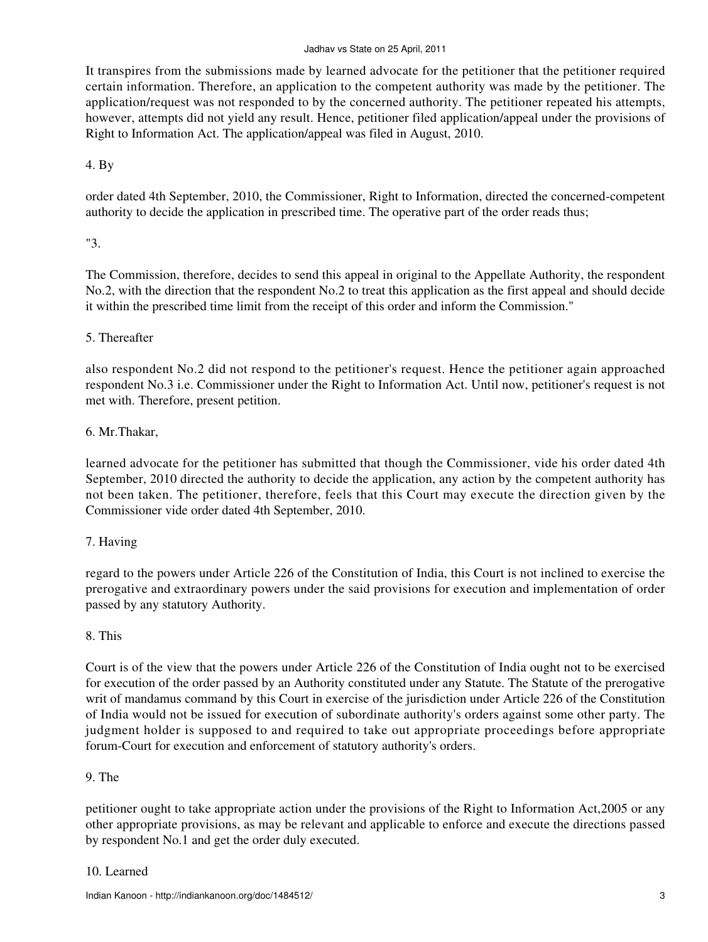It transpires from the submissions made by learned advocate for the petitioner that the petitioner required certain information. Therefore, an application to the competent authority was made by the petitioner. The application/request was not responded to by the concerned authority. The petitioner repeated his attempts, however, attempts did not yield any result. Hence, petitioner filed application/appeal under the provisions of Right to Information Act. The application/appeal was filed in August, 2010.

4. By

order dated 4th September, 2010, the Commissioner, Right to Information, directed the concerned-competent authority to decide the application in prescribed time. The operative part of the order reads thus;

# "3.

The Commission, therefore, decides to send this appeal in original to the Appellate Authority, the respondent No.2, with the direction that the respondent No.2 to treat this application as the first appeal and should decide it within the prescribed time limit from the receipt of this order and inform the Commission."

# 5. Thereafter

also respondent No.2 did not respond to the petitioner's request. Hence the petitioner again approached respondent No.3 i.e. Commissioner under the Right to Information Act. Until now, petitioner's request is not met with. Therefore, present petition.

# 6. Mr.Thakar,

learned advocate for the petitioner has submitted that though the Commissioner, vide his order dated 4th September, 2010 directed the authority to decide the application, any action by the competent authority has not been taken. The petitioner, therefore, feels that this Court may execute the direction given by the Commissioner vide order dated 4th September, 2010.

# 7. Having

regard to the powers under Article 226 of the Constitution of India, this Court is not inclined to exercise the prerogative and extraordinary powers under the said provisions for execution and implementation of order passed by any statutory Authority.

# 8. This

Court is of the view that the powers under Article 226 of the Constitution of India ought not to be exercised for execution of the order passed by an Authority constituted under any Statute. The Statute of the prerogative writ of mandamus command by this Court in exercise of the jurisdiction under Article 226 of the Constitution of India would not be issued for execution of subordinate authority's orders against some other party. The judgment holder is supposed to and required to take out appropriate proceedings before appropriate forum-Court for execution and enforcement of statutory authority's orders.

# 9. The

petitioner ought to take appropriate action under the provisions of the Right to Information Act,2005 or any other appropriate provisions, as may be relevant and applicable to enforce and execute the directions passed by respondent No.1 and get the order duly executed.

### 10. Learned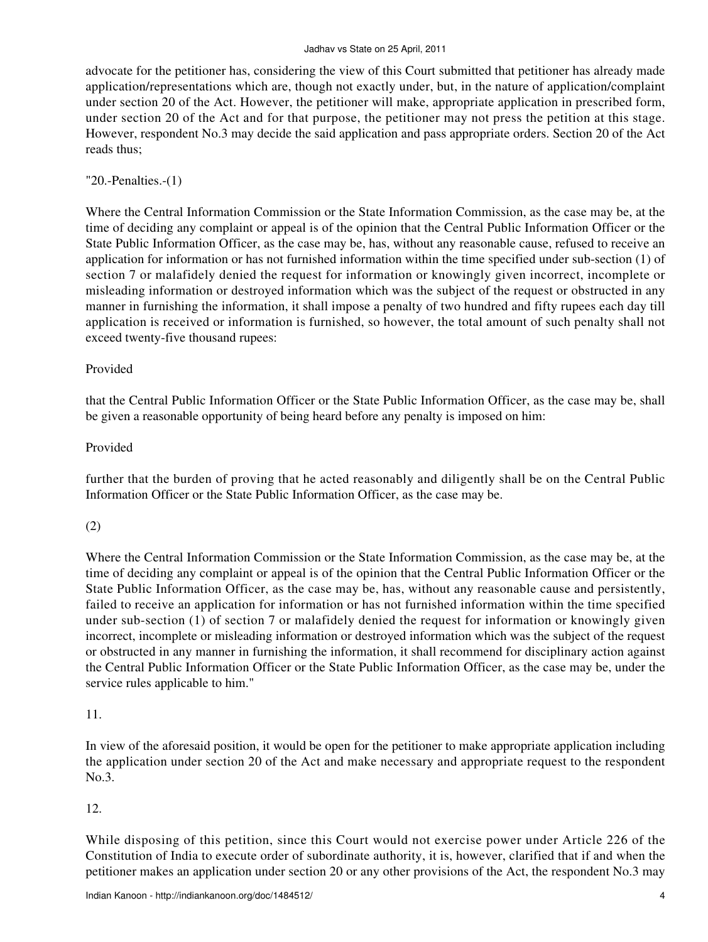#### Jadhav vs State on 25 April, 2011

advocate for the petitioner has, considering the view of this Court submitted that petitioner has already made application/representations which are, though not exactly under, but, in the nature of application/complaint under section 20 of the Act. However, the petitioner will make, appropriate application in prescribed form, under section 20 of the Act and for that purpose, the petitioner may not press the petition at this stage. However, respondent No.3 may decide the said application and pass appropriate orders. Section 20 of the Act reads thus;

# "20.-Penalties.-(1)

Where the Central Information Commission or the State Information Commission, as the case may be, at the time of deciding any complaint or appeal is of the opinion that the Central Public Information Officer or the State Public Information Officer, as the case may be, has, without any reasonable cause, refused to receive an application for information or has not furnished information within the time specified under sub-section (1) of section 7 or malafidely denied the request for information or knowingly given incorrect, incomplete or misleading information or destroyed information which was the subject of the request or obstructed in any manner in furnishing the information, it shall impose a penalty of two hundred and fifty rupees each day till application is received or information is furnished, so however, the total amount of such penalty shall not exceed twenty-five thousand rupees:

### Provided

that the Central Public Information Officer or the State Public Information Officer, as the case may be, shall be given a reasonable opportunity of being heard before any penalty is imposed on him:

### Provided

further that the burden of proving that he acted reasonably and diligently shall be on the Central Public Information Officer or the State Public Information Officer, as the case may be.

# (2)

Where the Central Information Commission or the State Information Commission, as the case may be, at the time of deciding any complaint or appeal is of the opinion that the Central Public Information Officer or the State Public Information Officer, as the case may be, has, without any reasonable cause and persistently, failed to receive an application for information or has not furnished information within the time specified under sub-section (1) of section 7 or malafidely denied the request for information or knowingly given incorrect, incomplete or misleading information or destroyed information which was the subject of the request or obstructed in any manner in furnishing the information, it shall recommend for disciplinary action against the Central Public Information Officer or the State Public Information Officer, as the case may be, under the service rules applicable to him."

### 11.

In view of the aforesaid position, it would be open for the petitioner to make appropriate application including the application under section 20 of the Act and make necessary and appropriate request to the respondent No.3.

# 12.

While disposing of this petition, since this Court would not exercise power under Article 226 of the Constitution of India to execute order of subordinate authority, it is, however, clarified that if and when the petitioner makes an application under section 20 or any other provisions of the Act, the respondent No.3 may